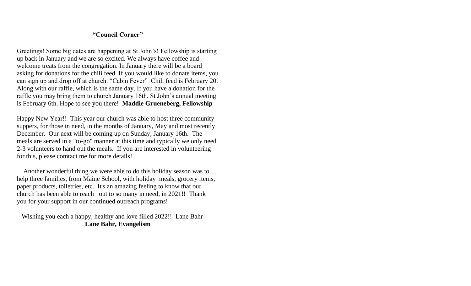# **"Council Corner"**

Greetings! Some big dates are happening at St John's! Fellowship is starting up back in January and we are so excited. We always have coffee and welcome treats from the congregation. In January there will be a board asking for donations for the chili feed. If you would like to donate items, you can sign up and drop off at church. "Cabin Fever" Chili feed is February 20. Along with our raffle, which is the same day. If you have a donation for the raffle you may bring them to church January 16th. St John's annual meeting is February 6th. Hope to see you there! **Maddie Grueneberg, Fellowship**

Happy New Year!! This year our church was able to host three community suppers, for those in need, in the months of January, May and most recently December. Our next will be coming up on Sunday, January 16th. The meals are served in a "to-go" manner at this time and typically we only need 2-3 volunteers to hand out the meals. If you are interested in volunteering for this, please comtact me for more details!

Another wonderful thing we were able to do this holiday season was to help three families, from Maine School, with holiday meals, grocery items, paper products, toiletries, etc. It's an amazing feeling to know that our church has been able to reach out to so many in need, in 2021!! Thank you for your support in our continued outreach programs!

Wishing you each a happy, healthy and love filled 2022!! Lane Bahr **Lane Bahr, Evangelism**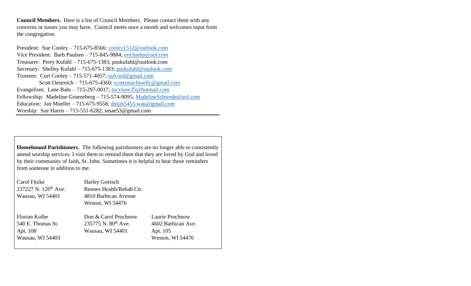**Council Members.** Here is a list of Council Members. Please contact them with any concerns or issues you may have. Council meets once a month and welcomes input from the congregation.

President: Sue Cooley – 715-675-8566; [cooley1512@outlook.com](mailto:cooley1512@outlook.com) Vice President: Barb Paulsen – 715-845-9884; [ericbarbp@aol.com](mailto:ericbarbp@aol.com) Treasurer: Perry Kufahl – 715-675-1383; pnskufahl@outlook.com Secretary: Shelley Kufahl – 715-675-1383; [pnskufahl@outlook.com](mailto:pnskufahl@outlook.com) Trustees: Curt Cooley – 715-571-4057; [usfcool@gmail.com](mailto:usfcool@gmail.com) Scott Oestreich – 715-675-4360; [scottsmachinellc@gmail.com](mailto:scottsmachinellc@gmail.com) Evangelism: Lane Bahr – 715-297-0017; [lucylane35@hotmail.com](mailto:lucylane35@hotmail.com) Fellowship: Madeline Grueneberg – 715-574-9095; [MadelineSchwede@aol.com](mailto:MadelineSchwede@aol.com) Education: Jan Mueller – 715-675-9558; [dmjm5455.wau@gmail.com](mailto:dmjm5455.wau@gmail.com) Worship: Sue Harris – 715-551-6282; smae53@gmail.com

**Homebound Parishioners.** The following parishioners are no longer able to consistently attend worship services. I visit them to remind them that they are loved by God and loved by their community of faith, St. John. Sometimes it is helpful to hear those reminders from someone in addition to me.

| Carol Fitzke                     | <b>Harley Goetsch</b>           |                    |  |  |  |
|----------------------------------|---------------------------------|--------------------|--|--|--|
| 237227 N. 120 <sup>th</sup> Ave. | Rennes Health/Rehab Ctr.        |                    |  |  |  |
| Wausau, WI 54401                 | 4810 Barbican Avenue            |                    |  |  |  |
|                                  | Weston, WI 54476                |                    |  |  |  |
|                                  |                                 |                    |  |  |  |
| Florian Kolbe                    | Don & Carol Prochnow            | Laurie Prochnow    |  |  |  |
| 540 E. Thomas St.                | 235775 N. 80 <sup>th</sup> Ave. | 4602 Barbican Ave. |  |  |  |
| Apt. 108                         | Wausau, WI 54401                | Apt. 105           |  |  |  |
| Wausau, WI 54403                 |                                 | Weston, WI 54476   |  |  |  |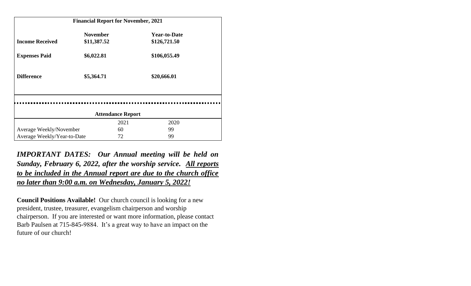| <b>Financial Report for November, 2021</b> |                          |      |                     |  |
|--------------------------------------------|--------------------------|------|---------------------|--|
|                                            | <b>November</b>          |      | <b>Year-to-Date</b> |  |
| <b>Income Received</b>                     | \$11,387.52              |      | \$126,721.50        |  |
| <b>Expenses Paid</b>                       | \$6,022.81               |      | \$106,055.49        |  |
| <b>Difference</b>                          | \$5,364.71               |      | \$20,666.01         |  |
|                                            |                          |      |                     |  |
|                                            | <b>Attendance Report</b> |      |                     |  |
|                                            |                          | 2021 | 2020                |  |
| Average Weekly/November                    |                          | 60   | 99                  |  |
| Average Weekly/Year-to-Date                |                          | 72   | 99                  |  |

*IMPORTANT DATES: Our Annual meeting will be held on Sunday, February 6, 2022, after the worship service. All reports to be included in the Annual report are due to the church office no later than 9:00 a.m. on Wednesday, January 5, 2022!* 

**Council Positions Available!** Our church council is looking for a new president, trustee, treasurer, evangelism chairperson and worship chairperson. If you are interested or want more information, please contact Barb Paulsen at 715-845-9884. It's a great way to have an impact on the future of our church!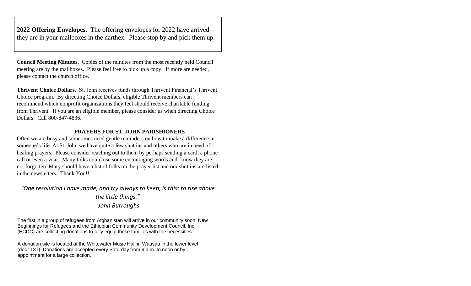**2022 Offering Envelopes.** The offering envelopes for 2022 have arrived – they are in your mailboxes in the narthex. Please stop by and pick them up.

**Council Meeting Minutes.** Copies of the minutes from the most recently held Council meeting are by the mailboxes. Please feel free to pick up a copy. If more are needed, please contact the church office.

**Thrivent Choice Dollars.** St. John receives funds through Thrivent Financial's Thrivent Choice program. By directing Choice Dollars, eligible Thrivent members can recommend which nonprofit organizations they feel should receive charitable funding from Thrivent. If you are an eligible member, please consider us when directing Choice Dollars. Call 800-847-4836.

# **PRAYERS FOR ST. JOHN PARISHIONERS**

Often we are busy and sometimes need gentle reminders on how to make a difference in someone's life. At St. John we have quite a few shut ins and others who are in need of healing prayers. Please consider reaching out to them by perhaps sending a card, a phone call or even a visit. Many folks could use some encouraging words and know they are not forgotten. Mary should have a list of folks on the prayer list and our shut ins are listed in the newsletters. Thank You!!

*"One resolution I have made, and try always to keep, is this: to rise above the little things." -John Burroughs*

The first in a group of refugees from Afghanistan will arrive in our community soon. New Beginnings for Refugees and the Ethiopian Community Development Council, Inc. (ECDC) are collecting donations to fully equip these families with the necessities.

A donation site is located at the Whitewater Music Hall in Wausau in the lower level (door 137). Donations are accepted every Saturday from 9 a.m. to noon or by appointment for a large collection.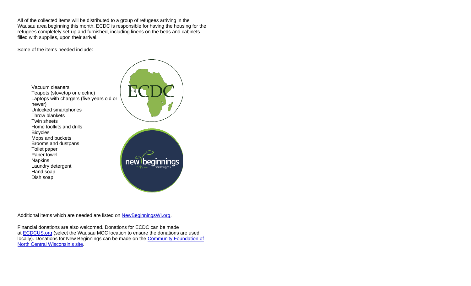All of the collected items will be distributed to a group of refugees arriving in the Wausau area beginning this month. ECDC is responsible for having the housing for the refugees completely set-up and furnished, including linens on the beds and cabinets filled with supplies, upon their arrival.

Some of the items needed include:



Additional items which are needed are listed on [NewBeginningsWI.org.](https://api-internal.weblinkconnect.com/api/Communication/Communication/1230109/click?url=http%3a%2f%2fwww.newbeginningswi.org&x-tenant=wausauchamber)

Financial donations are also welcomed. Donations for ECDC can be made at [ECDCUS.org](https://api-internal.weblinkconnect.com/api/Communication/Communication/1230109/click?url=https%3a%2f%2fwww.ecdcus.org%2fget-involved%2fdonate%2f&x-tenant=wausauchamber) (select the Wausau MCC location to ensure the donations are used locally). Donations for New Beginnings can be made on the Community Foundation of [North Central Wisconsin's site.](https://api-internal.weblinkconnect.com/api/Communication/Communication/1230109/click?url=https%3a%2f%2fcfoncw.fcsuite.com%2ferp%2fdonate%2fcreate%3ffunit_id%3d2947&x-tenant=wausauchamber)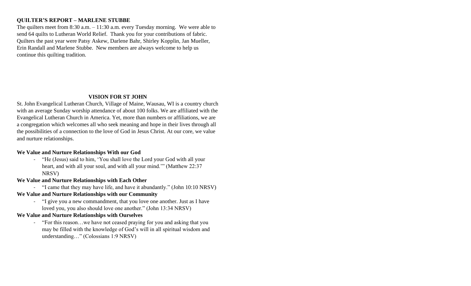# **QUILTER'S REPORT – MARLENE STUBBE**

The quilters meet from 8:30 a.m. – 11:30 a.m. every Tuesday morning. We were able to send 64 quilts to Lutheran World Relief. Thank you for your contributions of fabric. Quilters the past year were Patsy Askew, Darlene Bahr, Shirley Kopplin, Jan Mueller, Erin Randall and Marlene Stubbe. New members are always welcome to help us continue this quilting tradition.

# **VISION FOR ST JOHN**

St. John Evangelical Lutheran Church, Village of Maine, Wausau, WI is a country church with an average Sunday worship attendance of about 100 folks. We are affiliated with the Evangelical Lutheran Church in America. Yet, more than numbers or affiliations, we are a congregation which welcomes all who seek meaning and hope in their lives through all the possibilities of a connection to the love of God in Jesus Christ. At our core, we value and nurture relationships.

### **We Value and Nurture Relationships With our God**

- "He (Jesus) said to him, 'You shall love the Lord your God with all your heart, and with all your soul, and with all your mind.'" (Matthew 22:37 NRSV)

# **We Value and Nurture Relationships with Each Other**

- "I came that they may have life, and have it abundantly." (John 10:10 NRSV)

# **We Value and Nurture Relationships with our Community**

- "I give you a new commandment, that you love one another. Just as I have loved you, you also should love one another." (John 13:34 NRSV)

# **We Value and Nurture Relationships with Ourselves**

- "For this reason…we have not ceased praying for you and asking that you may be filled with the knowledge of God's will in all spiritual wisdom and understanding…" (Colossians 1:9 NRSV)